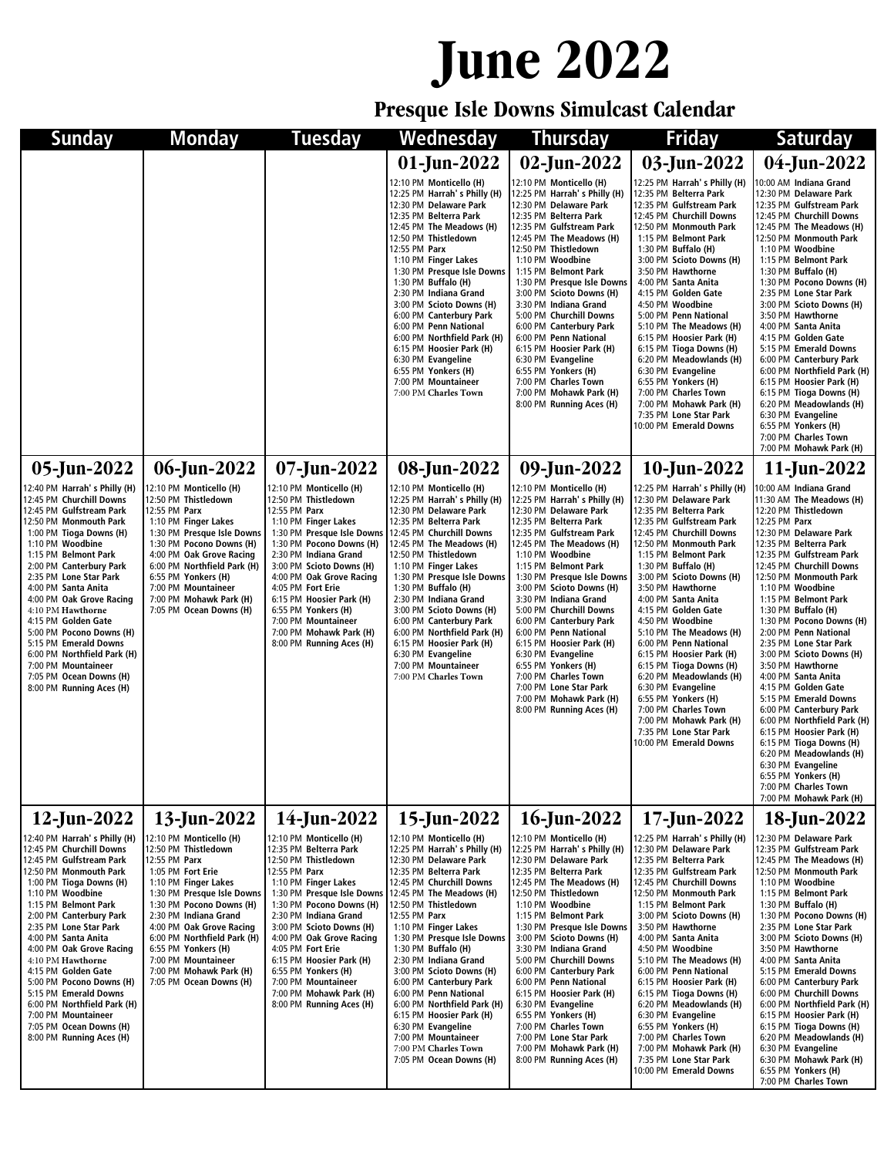## **June 2022**

**Presque Isle Downs Simulcast Calendar**

| Sunday                                                                                                                                                                                                                                                                                                                                                                                                                                                                                                      | <b>Monday</b>                                                                                                                                                                                                                                                                                                                                                   | Tuesday                                                                                                                                                                                                                                                                                                                                                                                                             | Wednesday                                                                                                                                                                                                                                                                                                                                                                                                                                                                                                                                                     | <b>Thursday</b>                                                                                                                                                                                                                                                                                                                                                                                                                                                                                                                                                     | Friday                                                                                                                                                                                                                                                                                                                                                                                                                                                                                                                                                                                                                         | <b>Saturday</b>                                                                                                                                                                                                                                                                                                                                                                                                                                                                                                                                                                                                                                                                                                                                         |
|-------------------------------------------------------------------------------------------------------------------------------------------------------------------------------------------------------------------------------------------------------------------------------------------------------------------------------------------------------------------------------------------------------------------------------------------------------------------------------------------------------------|-----------------------------------------------------------------------------------------------------------------------------------------------------------------------------------------------------------------------------------------------------------------------------------------------------------------------------------------------------------------|---------------------------------------------------------------------------------------------------------------------------------------------------------------------------------------------------------------------------------------------------------------------------------------------------------------------------------------------------------------------------------------------------------------------|---------------------------------------------------------------------------------------------------------------------------------------------------------------------------------------------------------------------------------------------------------------------------------------------------------------------------------------------------------------------------------------------------------------------------------------------------------------------------------------------------------------------------------------------------------------|---------------------------------------------------------------------------------------------------------------------------------------------------------------------------------------------------------------------------------------------------------------------------------------------------------------------------------------------------------------------------------------------------------------------------------------------------------------------------------------------------------------------------------------------------------------------|--------------------------------------------------------------------------------------------------------------------------------------------------------------------------------------------------------------------------------------------------------------------------------------------------------------------------------------------------------------------------------------------------------------------------------------------------------------------------------------------------------------------------------------------------------------------------------------------------------------------------------|---------------------------------------------------------------------------------------------------------------------------------------------------------------------------------------------------------------------------------------------------------------------------------------------------------------------------------------------------------------------------------------------------------------------------------------------------------------------------------------------------------------------------------------------------------------------------------------------------------------------------------------------------------------------------------------------------------------------------------------------------------|
|                                                                                                                                                                                                                                                                                                                                                                                                                                                                                                             |                                                                                                                                                                                                                                                                                                                                                                 |                                                                                                                                                                                                                                                                                                                                                                                                                     | $01$ -Jun-2022                                                                                                                                                                                                                                                                                                                                                                                                                                                                                                                                                | 02-Jun-2022                                                                                                                                                                                                                                                                                                                                                                                                                                                                                                                                                         | 03-Jun-2022                                                                                                                                                                                                                                                                                                                                                                                                                                                                                                                                                                                                                    | $04$ -Jun-2022                                                                                                                                                                                                                                                                                                                                                                                                                                                                                                                                                                                                                                                                                                                                          |
|                                                                                                                                                                                                                                                                                                                                                                                                                                                                                                             |                                                                                                                                                                                                                                                                                                                                                                 |                                                                                                                                                                                                                                                                                                                                                                                                                     | 12:10 PM Monticello (H)<br>12:25 PM Harrah's Philly (H)<br>12:30 PM Delaware Park<br>12:35 PM Belterra Park<br>12:45 PM The Meadows (H)<br>12:50 PM Thistledown<br>12:55 PM Parx<br>1:10 PM Finger Lakes<br>1:30 PM Presque Isle Downs<br>1:30 PM Buffalo (H)<br>2:30 PM Indiana Grand<br>3:00 PM Scioto Downs (H)<br>6:00 PM Canterbury Park<br>6:00 PM Penn National<br>6:00 PM Northfield Park (H)<br>6:15 PM Hoosier Park (H)<br>6:30 PM Evangeline<br>6:55 PM Yonkers (H)<br>7:00 PM Mountaineer<br>7:00 PM Charles Town                                 | 12:10 PM Monticello (H)<br>12:25 PM Harrah's Philly (H)<br>12:30 PM Delaware Park<br>12:35 PM Belterra Park<br>12:35 PM Gulfstream Park<br>12:45 PM The Meadows (H)<br>12:50 PM Thistledown<br>1:10 PM Woodbine<br>1:15 PM Belmont Park<br>1:30 PM Presque Isle Downs<br>3:00 PM Scioto Downs (H)<br>3:30 PM Indiana Grand<br>5:00 PM Churchill Downs<br>6:00 PM Canterbury Park<br>6:00 PM Penn National<br>6:15 PM Hoosier Park (H)<br>6:30 PM Evangeline<br>6:55 PM Yonkers (H)<br>7:00 PM Charles Town<br>7:00 PM Mohawk Park (H)<br>8:00 PM Running Aces (H)   | 12:25 PM Harrah's Philly (H)<br>12:35 PM Belterra Park<br>12:35 PM Gulfstream Park<br>12:45 PM Churchill Downs<br>12:50 PM Monmouth Park<br>1:15 PM Belmont Park<br>1:30 PM Buffalo (H)<br>3:00 PM Scioto Downs (H)<br>3:50 PM Hawthorne<br>4:00 PM Santa Anita<br>4:15 PM Golden Gate<br>4:50 PM Woodbine<br>5:00 PM Penn National<br>5:10 PM The Meadows (H)<br>6:15 PM Hoosier Park (H)<br>6:15 PM Tioga Downs (H)<br>6:20 PM Meadowlands (H)<br>6:30 PM Evangeline<br>6:55 PM Yonkers (H)<br>7:00 PM Charles Town<br>7:00 PM Mohawk Park (H)<br>7:35 PM Lone Star Park<br>10:00 PM Emerald Downs                           | 10:00 AM Indiana Grand<br>12:30 PM Delaware Park<br>12:35 PM Gulfstream Park<br>12:45 PM Churchill Downs<br>12:45 PM The Meadows (H)<br>12:50 PM Monmouth Park<br>1:10 PM Woodbine<br>1:15 PM Belmont Park<br>1:30 PM Buffalo (H)<br>1:30 PM Pocono Downs (H)<br>2:35 PM Lone Star Park<br>3:00 PM Scioto Downs (H)<br>3:50 PM Hawthorne<br>4:00 PM Santa Anita<br>4:15 PM Golden Gate<br>5:15 PM Emerald Downs<br>6:00 PM Canterbury Park<br>6:00 PM Northfield Park (H)<br>6:15 PM Hoosier Park (H)<br>6:15 PM Tioga Downs (H)<br>6:20 PM Meadowlands (H)<br>6:30 PM Evangeline<br>6:55 PM Yonkers (H)<br>7:00 PM Charles Town<br>7:00 PM Mohawk Park (H)                                                                                             |
| 05-Jun-2022                                                                                                                                                                                                                                                                                                                                                                                                                                                                                                 | 06-Jun-2022                                                                                                                                                                                                                                                                                                                                                     | $07$ -Jun-2022                                                                                                                                                                                                                                                                                                                                                                                                      | 08-Jun-2022                                                                                                                                                                                                                                                                                                                                                                                                                                                                                                                                                   | 09-Jun-2022                                                                                                                                                                                                                                                                                                                                                                                                                                                                                                                                                         | $10$ -Jun-2022                                                                                                                                                                                                                                                                                                                                                                                                                                                                                                                                                                                                                 | 11-Jun-2022                                                                                                                                                                                                                                                                                                                                                                                                                                                                                                                                                                                                                                                                                                                                             |
| 12:40 PM Harrah's Philly (H)<br>12:45 PM Churchill Downs<br>12:45 PM Gulfstream Park<br>12:50 PM Monmouth Park<br>1:00 PM Tioga Downs (H)<br>1:10 PM Woodbine<br>1:15 PM Belmont Park<br>2:00 PM Canterbury Park<br>2:35 PM Lone Star Park<br>4:00 PM Santa Anita<br>4:00 PM Oak Grove Racing<br>4:10 PM Hawthorne<br>4:15 PM Golden Gate<br>5:00 PM Pocono Downs (H)<br>5:15 PM Emerald Downs<br>6:00 PM Northfield Park (H)<br>7:00 PM Mountaineer<br>7:05 PM Ocean Downs (H)<br>8:00 PM Running Aces (H) | 12:10 PM Monticello (H)<br>12:50 PM Thistledown<br>12:55 PM Parx<br>1:10 PM Finger Lakes<br>1:30 PM Presque Isle Downs<br>1:30 PM Pocono Downs (H)<br>4:00 PM Oak Grove Racing<br>6:00 PM Northfield Park (H)<br>6:55 PM Yonkers (H)<br>7:00 PM Mountaineer<br>7:00 PM Mohawk Park (H)<br>7:05 PM Ocean Downs (H)                                               | 12:10 PM Monticello (H)<br>12:50 PM Thistledown<br>12:55 PM Parx<br>1:10 PM Finger Lakes<br>1:30 PM Presque Isle Downs<br>1:30 PM Pocono Downs (H)<br>2:30 PM Indiana Grand<br>3:00 PM Scioto Downs (H)<br>4:00 PM Oak Grove Racing<br>4:05 PM Fort Erie<br>6:15 PM Hoosier Park (H)<br>6:55 PM Yonkers (H)<br>7:00 PM Mountaineer<br>7:00 PM Mohawk Park (H)<br>8:00 PM Running Aces (H)                           | 12:10 PM Monticello (H)<br>12:25 PM Harrah's Philly (H)<br>12:30 PM Delaware Park<br>12:35 PM Belterra Park<br>12:45 PM Churchill Downs<br>12:45 PM The Meadows (H)<br>12:50 PM Thistledown<br>1:10 PM Finger Lakes<br>1:30 PM Presque Isle Downs<br>1:30 PM Buffalo (H)<br>2:30 PM Indiana Grand<br>3:00 PM Scioto Downs (H)<br>6:00 PM Canterbury Park<br>6:00 PM Northfield Park (H)<br>6:15 PM Hoosier Park (H)<br>6:30 PM Evangeline<br>7:00 PM Mountaineer<br>7:00 PM Charles Town                                                                      | 12:10 PM Monticello (H)<br>12:25 PM Harrah's Philly (H)<br>12:30 PM Delaware Park<br>12:35 PM Belterra Park<br>12:35 PM Gulfstream Park<br>12:45 PM The Meadows (H)<br>1:10 PM Woodbine<br>1:15 PM Belmont Park<br>1:30 PM Presque Isle Downs<br>3:00 PM Scioto Downs (H)<br>3:30 PM Indiana Grand<br>5:00 PM Churchill Downs<br>6:00 PM Canterbury Park<br>6:00 PM Penn National<br>6:15 PM Hoosier Park (H)<br>6:30 PM Evangeline<br>6:55 PM Yonkers (H)<br>7:00 PM Charles Town<br>7:00 PM Lone Star Park<br>7:00 PM Mohawk Park (H)<br>8:00 PM Running Aces (H) | 12:25 PM Harrah's Philly (H)<br>12:30 PM Delaware Park<br>12:35 PM Belterra Park<br>12:35 PM Gulfstream Park<br>12:45 PM Churchill Downs<br>12:50 PM Monmouth Park<br>1:15 PM Belmont Park<br>1:30 PM Buffalo (H)<br>3:00 PM Scioto Downs (H)<br>3:50 PM Hawthorne<br>4:00 PM Santa Anita<br>4:15 PM Golden Gate<br>4:50 PM Woodbine<br>5:10 PM The Meadows (H)<br>6:00 PM Penn National<br>6:15 PM Hoosier Park (H)<br>6:15 PM Tioga Downs (H)<br>6:20 PM Meadowlands (H)<br>6:30 PM Evangeline<br>6:55 PM Yonkers (H)<br>7:00 PM Charles Town<br>7:00 PM Mohawk Park (H)<br>7:35 PM Lone Star Park<br>10:00 PM Emerald Downs | 10:00 AM Indiana Grand<br>11:30 AM The Meadows (H)<br>12:20 PM Thistledown<br>12:25 PM Parx<br>12:30 PM Delaware Park<br>12:35 PM Belterra Park<br>12:35 PM Gulfstream Park<br>12:45 PM Churchill Downs<br>12:50 PM Monmouth Park<br>1:10 PM Woodbine<br>1:15 PM Belmont Park<br>1:30 PM Buffalo (H)<br>1:30 PM Pocono Downs (H)<br>2:00 PM Penn National<br>2:35 PM Lone Star Park<br>3:00 PM Scioto Downs (H)<br>3:50 PM Hawthorne<br>4:00 PM Santa Anita<br>4:15 PM Golden Gate<br>5:15 PM Emerald Downs<br>6:00 PM Canterbury Park<br>6:00 PM Northfield Park (H)<br>6:15 PM Hoosier Park (H)<br>6:15 PM Tioga Downs (H)<br>6:20 PM Meadowlands (H)<br>6:30 PM Evangeline<br>6:55 PM Yonkers (H)<br>7:00 PM Charles Town<br>7:00 PM Mohawk Park (H) |
| $12$ -Jun-2022                                                                                                                                                                                                                                                                                                                                                                                                                                                                                              | 13-Jun-2022                                                                                                                                                                                                                                                                                                                                                     | 14-Jun-2022                                                                                                                                                                                                                                                                                                                                                                                                         | $15$ -Jun-2022                                                                                                                                                                                                                                                                                                                                                                                                                                                                                                                                                | 16-Jun-2022                                                                                                                                                                                                                                                                                                                                                                                                                                                                                                                                                         | $17$ -Jun-2022                                                                                                                                                                                                                                                                                                                                                                                                                                                                                                                                                                                                                 | 18-Jun-2022                                                                                                                                                                                                                                                                                                                                                                                                                                                                                                                                                                                                                                                                                                                                             |
| 12:40 PM Harrah's Philly (H)<br>12:45 PM Churchill Downs<br>12:45 PM Gulfstream Park<br>12:50 PM Monmouth Park<br>1:00 PM Tioga Downs (H)<br>1:10 PM Woodbine<br>1:15 PM Belmont Park<br>2:00 PM Canterbury Park<br>2:35 PM Lone Star Park<br>4:00 PM Santa Anita<br>4:00 PM Oak Grove Racing<br>4:10 PM Hawthorne<br>4:15 PM Golden Gate<br>5:00 PM Pocono Downs (H)<br>5:15 PM Emerald Downs<br>6:00 PM Northfield Park (H)<br>7:00 PM Mountaineer<br>7:05 PM Ocean Downs (H)<br>8:00 PM Running Aces (H) | 12:10 PM Monticello (H)<br>12:50 PM Thistledown<br>12:55 PM Parx<br>1:05 PM Fort Erie<br>1:10 PM Finger Lakes<br>1:30 PM Presque Isle Downs<br>1:30 PM Pocono Downs (H)<br>2:30 PM Indiana Grand<br>4:00 PM Oak Grove Racing<br>6:00 PM Northfield Park (H)<br>6:55 PM Yonkers (H)<br>7:00 PM Mountaineer<br>7:00 PM Mohawk Park (H)<br>7:05 PM Ocean Downs (H) | 12:10 PM Monticello (H)<br>12:35 PM Belterra Park<br>12:50 PM Thistledown<br>12:55 PM Parx<br>1:10 PM Finger Lakes<br>1:30 PM Presque Isle Downs<br>1:30 PM Pocono Downs (H)<br>2:30 PM Indiana Grand<br>3:00 PM Scioto Downs (H)<br>4:00 PM Oak Grove Racing<br>4:05 PM Fort Erie<br>6:15 PM Hoosier Park (H)<br>6:55 PM Yonkers (H)<br>7:00 PM Mountaineer<br>7:00 PM Mohawk Park (H)<br>8:00 PM Running Aces (H) | 12:10 PM Monticello (H)<br>12:25 PM Harrah's Philly (H)<br>12:30 PM Delaware Park<br>12:35 PM Belterra Park<br>12:45 PM Churchill Downs<br>12:45 PM The Meadows (H)<br>12:50 PM Thistledown<br>12:55 PM Parx<br>1:10 PM Finger Lakes<br>1:30 PM Presque Isle Downs<br>1:30 PM Buffalo (H)<br>2:30 PM Indiana Grand<br>3:00 PM Scioto Downs (H)<br>6:00 PM Canterbury Park<br>6:00 PM Penn National<br>6:00 PM Northfield Park (H)<br>6:15 PM Hoosier Park (H)<br>6:30 PM Evangeline<br>7:00 PM Mountaineer<br>7:00 PM Charles Town<br>7:05 PM Ocean Downs (H) | 12:10 PM Monticello (H)<br>12:25 PM Harrah's Philly (H)<br>12:30 PM Delaware Park<br>12:35 PM Belterra Park<br>12:45 PM The Meadows (H)<br>12:50 PM Thistledown<br>1:10 PM Woodbine<br>1:15 PM Belmont Park<br>1:30 PM Presque Isle Downs<br>3:00 PM Scioto Downs (H)<br>3:30 PM Indiana Grand<br>5:00 PM Churchill Downs<br>6:00 PM Canterbury Park<br>6:00 PM Penn National<br>6:15 PM Hoosier Park (H)<br>6:30 PM Evangeline<br>6:55 PM Yonkers (H)<br>7:00 PM Charles Town<br>7:00 PM Lone Star Park<br>7:00 PM Mohawk Park (H)<br>8:00 PM Running Aces (H)     | 12:25 PM Harrah's Philly (H)<br>12:30 PM Delaware Park<br>12:35 PM Belterra Park<br>12:35 PM Gulfstream Park<br>12:45 PM Churchill Downs<br>12:50 PM Monmouth Park<br>1:15 PM Belmont Park<br>3:00 PM Scioto Downs (H)<br>3:50 PM Hawthorne<br>4:00 PM Santa Anita<br>4:50 PM Woodbine<br>5:10 PM The Meadows (H)<br>6:00 PM Penn National<br>6:15 PM Hoosier Park (H)<br>6:15 PM Tioga Downs (H)<br>6:20 PM Meadowlands (H)<br>6:30 PM Evangeline<br>6:55 PM Yonkers (H)<br>7:00 PM Charles Town<br>7:00 PM Mohawk Park (H)<br>7:35 PM Lone Star Park<br>10:00 PM Emerald Downs                                               | 12:30 PM Delaware Park<br>12:35 PM Gulfstream Park<br>12:45 PM The Meadows (H)<br>12:50 PM Monmouth Park<br>1:10 PM Woodbine<br>1:15 PM Belmont Park<br>1:30 PM Buffalo (H)<br>1:30 PM Pocono Downs (H)<br>2:35 PM Lone Star Park<br>3:00 PM Scioto Downs (H)<br>3:50 PM Hawthorne<br>4:00 PM Santa Anita<br>5:15 PM Emerald Downs<br>6:00 PM Canterbury Park<br>6:00 PM Churchill Downs<br>6:00 PM Northfield Park (H)<br>6:15 PM Hoosier Park (H)<br>6:15 PM Tioga Downs (H)<br>6:20 PM Meadowlands (H)<br>6:30 PM Evangeline<br>6:30 PM Mohawk Park (H)<br>6:55 PM Yonkers (H)<br>7:00 PM Charles Town                                                                                                                                               |